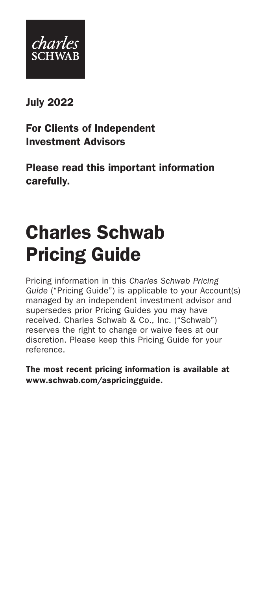

July 2022

For Clients of Independent Investment Advisors

Please read this important information carefully.

# Charles Schwab Pricing Guide

Pricing information in this *Charles Schwab Pricing Guide* ("Pricing Guide") is applicable to your Account(s) managed by an independent investment advisor and supersedes prior Pricing Guides you may have received. Charles Schwab & Co., Inc. ("Schwab") reserves the right to change or waive fees at our discretion. Please keep this Pricing Guide for your reference.

The most recent pricing information is available at www.schwab.com/aspricingguide.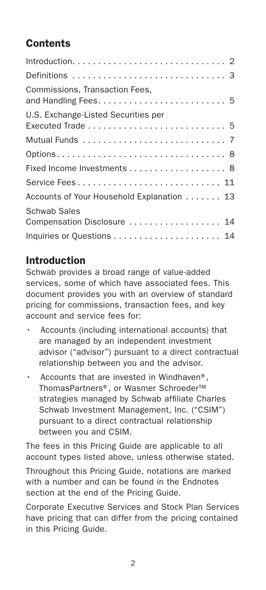# **Contents**

| Commissions, Transaction Fees,                     |
|----------------------------------------------------|
| U.S. Exchange-Listed Securities per                |
|                                                    |
|                                                    |
|                                                    |
| Service Fees 11                                    |
| Accounts of Your Household Explanation 13          |
| <b>Schwab Sales</b><br>Compensation Disclosure  14 |
|                                                    |

# Introduction

Schwab provides a broad range of value-added services, some of which have associated fees. This document provides you with an overview of standard pricing for commissions, transaction fees, and key account and service fees for:

- Accounts (including international accounts) that are managed by an independent investment advisor ("advisor") pursuant to a direct contractual relationship between you and the advisor.
- Accounts that are invested in Windhaven®, ThomasPartners®, or Wasmer Schroeder™ strategies managed by Schwab affiliate Charles Schwab Investment Management, Inc. ("CSIM") pursuant to a direct contractual relationship between you and CSIM.

The fees in this Pricing Guide are applicable to all account types listed above, unless otherwise stated.

Throughout this Pricing Guide, notations are marked with a number and can be found in the Endnotes section at the end of the Pricing Guide.

Corporate Executive Services and Stock Plan Services have pricing that can differ from the pricing contained in this Pricing Guide.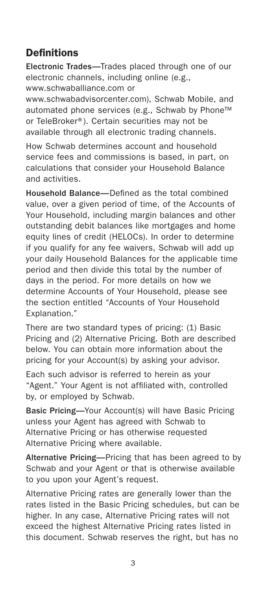# Definitions

Electronic Trades—Trades placed through one of our electronic channels, including online (e.g., www.schwaballiance.com or

www.schwabadvisorcenter.com), Schwab Mobile, and automated phone services (e.g., Schwab by Phone™ or TeleBroker®). Certain securities may not be available through all electronic trading channels.

How Schwab determines account and household service fees and commissions is based, in part, on calculations that consider your Household Balance and activities.

Household Balance—Defined as the total combined value, over a given period of time, of the Accounts of Your Household, including margin balances and other outstanding debit balances like mortgages and home equity lines of credit (HELOCs). In order to determine if you qualify for any fee waivers, Schwab will add up your daily Household Balances for the applicable time period and then divide this total by the number of days in the period. For more details on how we determine Accounts of Your Household, please see the section entitled "Accounts of Your Household Explanation."

There are two standard types of pricing: (1) Basic Pricing and (2) Alternative Pricing. Both are described below. You can obtain more information about the pricing for your Account(s) by asking your advisor.

Each such advisor is referred to herein as your "Agent." Your Agent is not affiliated with, controlled by, or employed by Schwab.

Basic Pricing—Your Account(s) will have Basic Pricing unless your Agent has agreed with Schwab to Alternative Pricing or has otherwise requested Alternative Pricing where available.

Alternative Pricing—Pricing that has been agreed to by Schwab and your Agent or that is otherwise available to you upon your Agent's request.

Alternative Pricing rates are generally lower than the rates listed in the Basic Pricing schedules, but can be higher. In any case, Alternative Pricing rates will not exceed the highest Alternative Pricing rates listed in this document. Schwab reserves the right, but has no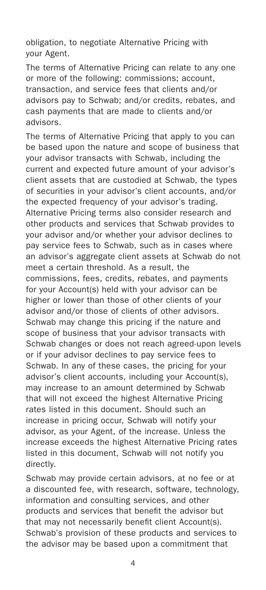obligation, to negotiate Alternative Pricing with your Agent.

The terms of Alternative Pricing can relate to any one or more of the following: commissions; account, transaction, and service fees that clients and/or advisors pay to Schwab; and/or credits, rebates, and cash payments that are made to clients and/or advisors.

The terms of Alternative Pricing that apply to you can be based upon the nature and scope of business that your advisor transacts with Schwab, including the current and expected future amount of your advisor's client assets that are custodied at Schwab, the types of securities in your advisor's client accounts, and/or the expected frequency of your advisor's trading. Alternative Pricing terms also consider research and other products and services that Schwab provides to your advisor and/or whether your advisor declines to pay service fees to Schwab, such as in cases where an advisor's aggregate client assets at Schwab do not meet a certain threshold. As a result, the commissions, fees, credits, rebates, and payments for your Account(s) held with your advisor can be higher or lower than those of other clients of your advisor and/or those of clients of other advisors. Schwab may change this pricing if the nature and scope of business that your advisor transacts with Schwab changes or does not reach agreed-upon levels or if your advisor declines to pay service fees to Schwab. In any of these cases, the pricing for your advisor's client accounts, including your Account(s), may increase to an amount determined by Schwab that will not exceed the highest Alternative Pricing rates listed in this document. Should such an increase in pricing occur, Schwab will notify your advisor, as your Agent, of the increase. Unless the increase exceeds the highest Alternative Pricing rates listed in this document, Schwab will not notify you directly.

Schwab may provide certain advisors, at no fee or at a discounted fee, with research, software, technology, information and consulting services, and other products and services that benefit the advisor but that may not necessarily benefit client Account(s). Schwab's provision of these products and services to the advisor may be based upon a commitment that

4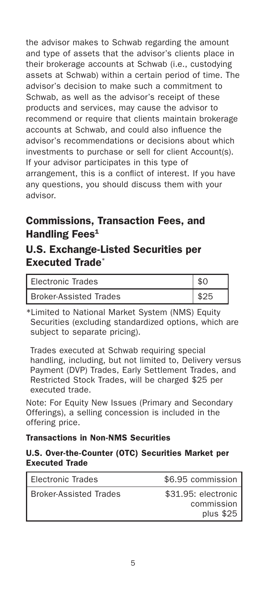the advisor makes to Schwab regarding the amount and type of assets that the advisor's clients place in their brokerage accounts at Schwab (i.e., custodying assets at Schwab) within a certain period of time. The advisor's decision to make such a commitment to Schwab, as well as the advisor's receipt of these products and services, may cause the advisor to recommend or require that clients maintain brokerage accounts at Schwab, and could also influence the advisor's recommendations or decisions about which investments to purchase or sell for client Account(s). If your advisor participates in this type of arrangement, this is a conflict of interest. If you have any questions, you should discuss them with your advisor.

# Commissions, Transaction Fees, and Handling Fees<sup>1</sup>

# U.S. Exchange-Listed Securities per Executed Trade\*

| <b>Flectronic Trades</b>      |  |
|-------------------------------|--|
| <b>Broker-Assisted Trades</b> |  |

\*Limited to National Market System (NMS) Equity Securities (excluding standardized options, which are subject to separate pricing).

Trades executed at Schwab requiring special handling, including, but not limited to, Delivery versus Payment (DVP) Trades, Early Settlement Trades, and Restricted Stock Trades, will be charged \$25 per executed trade.

Note: For Equity New Issues (Primary and Secondary Offerings), a selling concession is included in the offering price.

#### Transactions in Non-NMS Securities

#### U.S. Over-the-Counter (OTC) Securities Market per Executed Trade

| Electronic Trades             | \$6.95 commission                               |
|-------------------------------|-------------------------------------------------|
| <b>Broker-Assisted Trades</b> | \$31.95: electronic<br>commission<br>plus $$25$ |
|                               |                                                 |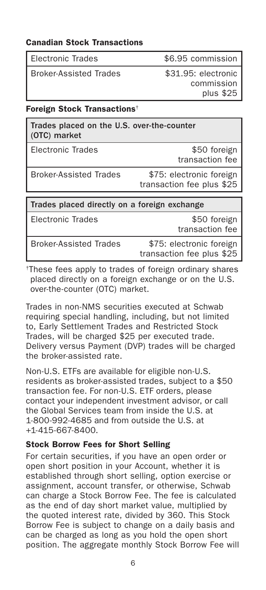#### Canadian Stock Transactions

| Electronic Trades |  |
|-------------------|--|
|                   |  |

Broker-Assisted Trades \$31.95: electronic

\$6.95 commission

commission plus \$25

#### Foreign Stock Transactions†

| Trades placed on the U.S. over-the-counter<br>(OTC) market |                                                       |
|------------------------------------------------------------|-------------------------------------------------------|
| <b>Flectronic Trades</b>                                   | \$50 foreign<br>transaction fee                       |
| <b>Broker-Assisted Trades</b>                              | \$75: electronic foreign<br>transaction fee plus \$25 |
|                                                            |                                                       |
| Trades placed directly on a foreign exchange               |                                                       |
| <b>Flectronic Trades</b>                                   | \$50 foreign<br>transaction fee                       |
|                                                            |                                                       |

†These fees apply to trades of foreign ordinary shares placed directly on a foreign exchange or on the U.S. over-the-counter (OTC) market.

Trades in non-NMS securities executed at Schwab requiring special handling, including, but not limited to, Early Settlement Trades and Restricted Stock Trades, will be charged \$25 per executed trade. Delivery versus Payment (DVP) trades will be charged the broker-assisted rate.

Non-U.S. ETFs are available for eligible non-U.S. residents as broker-assisted trades, subject to a \$50 transaction fee. For non-U.S. ETF orders, please contact your independent investment advisor, or call the Global Services team from inside the U.S. at 1-800-992-4685 and from outside the U.S. at +1-415-667-8400.

#### Stock Borrow Fees for Short Selling

For certain securities, if you have an open order or open short position in your Account, whether it is established through short selling, option exercise or assignment, account transfer, or otherwise, Schwab can charge a Stock Borrow Fee. The fee is calculated as the end of day short market value, multiplied by the quoted interest rate, divided by 360. This Stock Borrow Fee is subject to change on a daily basis and can be charged as long as you hold the open short position. The aggregate monthly Stock Borrow Fee will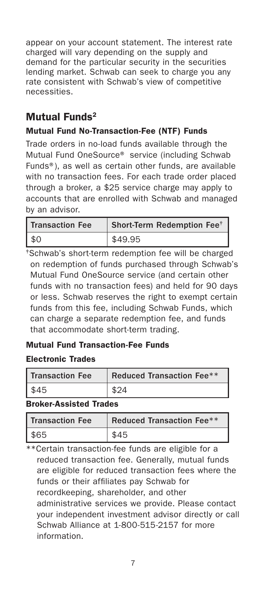appear on your account statement. The interest rate charged will vary depending on the supply and demand for the particular security in the securities lending market. Schwab can seek to charge you any rate consistent with Schwab's view of competitive necessities.

# Mutual Funds2

### Mutual Fund No-Transaction-Fee (NTF) Funds

Trade orders in no-load funds available through the Mutual Fund OneSource® service (including Schwab Funds®), as well as certain other funds, are available with no transaction fees. For each trade order placed through a broker, a \$25 service charge may apply to accounts that are enrolled with Schwab and managed by an advisor.

| <b>Transaction Fee</b> | Short-Term Redemption Fee <sup>+</sup> |
|------------------------|----------------------------------------|
| \$0                    | \$49.95                                |

‡Schwab's short-term redemption fee will be charged on redemption of funds purchased through Schwab's Mutual Fund OneSource service (and certain other funds with no transaction fees) and held for 90 days or less. Schwab reserves the right to exempt certain funds from this fee, including Schwab Funds, which can charge a separate redemption fee, and funds that accommodate short-term trading.

#### Mutual Fund Transaction-Fee Funds

#### Electronic Trades

| <b>Transaction Fee</b> | Reduced Transaction Fee** |
|------------------------|---------------------------|
| \$45                   | \$24                      |

#### Broker-Assisted Trades

| <b>Transaction Fee</b> | Reduced Transaction Fee** |
|------------------------|---------------------------|
| $R$ 65                 |                           |

\*\*Certain transaction-fee funds are eligible for a reduced transaction fee. Generally, mutual funds are eligible for reduced transaction fees where the funds or their affiliates pay Schwab for recordkeeping, shareholder, and other administrative services we provide. Please contact your independent investment advisor directly or call Schwab Alliance at 1-800-515-2157 for more information.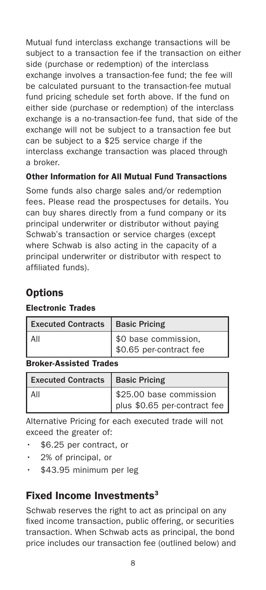Mutual fund interclass exchange transactions will be subject to a transaction fee if the transaction on either side (purchase or redemption) of the interclass exchange involves a transaction-fee fund; the fee will be calculated pursuant to the transaction-fee mutual fund pricing schedule set forth above. If the fund on either side (purchase or redemption) of the interclass exchange is a no-transaction-fee fund, that side of the exchange will not be subject to a transaction fee but can be subject to a \$25 service charge if the interclass exchange transaction was placed through a broker.

### Other Information for All Mutual Fund Transactions

Some funds also charge sales and/or redemption fees. Please read the prospectuses for details. You can buy shares directly from a fund company or its principal underwriter or distributor without paying Schwab's transaction or service charges (except where Schwab is also acting in the capacity of a principal underwriter or distributor with respect to affiliated funds).

# **Options**

#### Electronic Trades

| <b>Executed Contracts</b> | <b>Basic Pricing</b>                            |
|---------------------------|-------------------------------------------------|
| ΑIΙ                       | \$0 base commission.<br>\$0.65 per-contract fee |

#### Broker-Assisted Trades

| Executed Contracts   Basic Pricing |                                                         |
|------------------------------------|---------------------------------------------------------|
| All                                | \$25.00 base commission<br>plus \$0.65 per-contract fee |

Alternative Pricing for each executed trade will not exceed the greater of:

- \$6.25 per contract, or
- $\cdot$  2% of principal, or
- \$43.95 minimum per leg

## Fixed Income Investments<sup>3</sup>

Schwab reserves the right to act as principal on any fixed income transaction, public offering, or securities transaction. When Schwab acts as principal, the bond price includes our transaction fee (outlined below) and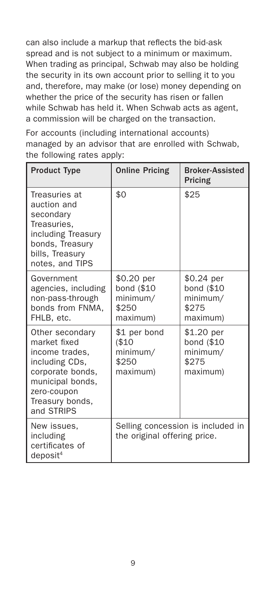can also include a markup that reflects the bid-ask spread and is not subject to a minimum or maximum. When trading as principal, Schwab may also be holding the security in its own account prior to selling it to you and, therefore, may make (or lose) money depending on whether the price of the security has risen or fallen while Schwab has held it. When Schwab acts as agent, a commission will be charged on the transaction.

For accounts (including international accounts) managed by an advisor that are enrolled with Schwab, the following rates apply:

| <b>Product Type</b>                                                                                                                                         | <b>Online Pricing</b>                                     | <b>Broker-Assisted</b><br>Pricing                         |
|-------------------------------------------------------------------------------------------------------------------------------------------------------------|-----------------------------------------------------------|-----------------------------------------------------------|
| Treasuries at<br>auction and<br>secondary<br>Treasuries.<br>including Treasury<br>bonds, Treasury<br>bills, Treasury<br>notes, and TIPS                     | \$0                                                       | \$25                                                      |
| Government<br>agencies, including<br>non-pass-through<br>bonds from FNMA,<br>FHLB, etc.                                                                     | \$0.20 per<br>bond (\$10<br>minimum/<br>\$250<br>maximum) | \$0.24 per<br>bond (\$10<br>minimum/<br>\$275<br>maximum) |
| Other secondary<br>market fixed<br>income trades,<br>including CDs,<br>corporate bonds,<br>municipal bonds,<br>zero-coupon<br>Treasury bonds.<br>and STRIPS | \$1 per bond<br>( \$10<br>minimum/<br>\$250<br>maximum)   | \$1.20 per<br>bond (\$10<br>minimum/<br>\$275<br>maximum) |
| New issues,<br>including<br>certificates of<br>deposit <sup>4</sup>                                                                                         | the original offering price.                              | Selling concession is included in                         |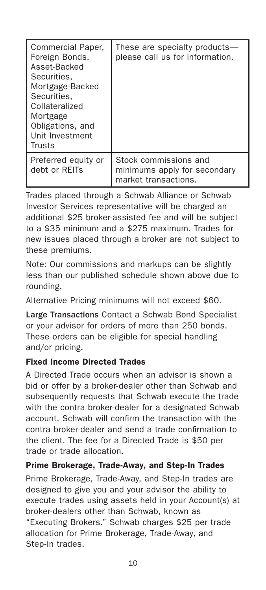| Commercial Paper,<br>Foreign Bonds,<br>Asset-Backed<br>Securities.<br>Mortgage-Backed<br>Securities.<br>Collateralized<br>Mortgage<br>Obligations, and<br>Unit Investment<br>Trusts | These are specialty products-<br>please call us for information.              |
|-------------------------------------------------------------------------------------------------------------------------------------------------------------------------------------|-------------------------------------------------------------------------------|
| Preferred equity or<br>debt or RFITs                                                                                                                                                | Stock commissions and<br>minimums apply for secondary<br>market transactions. |

Trades placed through a Schwab Alliance or Schwab Investor Services representative will be charged an additional \$25 broker-assisted fee and will be subject to a \$35 minimum and a \$275 maximum. Trades for new issues placed through a broker are not subject to these premiums.

Note: Our commissions and markups can be slightly less than our published schedule shown above due to rounding.

Alternative Pricing minimums will not exceed \$60.

Large Transactions Contact a Schwab Bond Specialist or your advisor for orders of more than 250 bonds. These orders can be eligible for special handling and/or pricing.

### Fixed Income Directed Trades

A Directed Trade occurs when an advisor is shown a bid or offer by a broker-dealer other than Schwab and subsequently requests that Schwab execute the trade with the contra broker-dealer for a designated Schwab account. Schwab will confirm the transaction with the contra broker-dealer and send a trade confirmation to the client. The fee for a Directed Trade is \$50 per trade or trade allocation.

### Prime Brokerage, Trade-Away, and Step-In Trades

Prime Brokerage, Trade-Away, and Step-In trades are designed to give you and your advisor the ability to execute trades using assets held in your Account(s) at broker-dealers other than Schwab, known as "Executing Brokers." Schwab charges \$25 per trade allocation for Prime Brokerage, Trade-Away, and Step-In trades.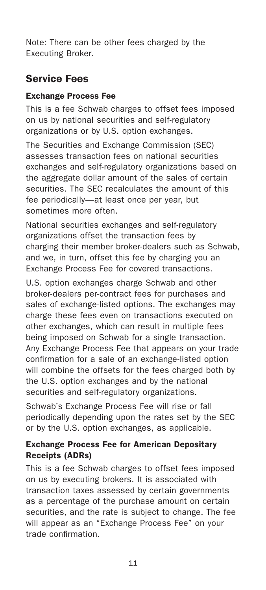Note: There can be other fees charged by the Executing Broker.

# Service Fees

### Exchange Process Fee

This is a fee Schwab charges to offset fees imposed on us by national securities and self-regulatory organizations or by U.S. option exchanges.

The Securities and Exchange Commission (SEC) assesses transaction fees on national securities exchanges and self-regulatory organizations based on the aggregate dollar amount of the sales of certain securities. The SEC recalculates the amount of this fee periodically—at least once per year, but sometimes more often.

National securities exchanges and self-regulatory organizations offset the transaction fees by charging their member broker-dealers such as Schwab, and we, in turn, offset this fee by charging you an Exchange Process Fee for covered transactions.

U.S. option exchanges charge Schwab and other broker-dealers per-contract fees for purchases and sales of exchange-listed options. The exchanges may charge these fees even on transactions executed on other exchanges, which can result in multiple fees being imposed on Schwab for a single transaction. Any Exchange Process Fee that appears on your trade confirmation for a sale of an exchange-listed option will combine the offsets for the fees charged both by the U.S. option exchanges and by the national securities and self-regulatory organizations.

Schwab's Exchange Process Fee will rise or fall periodically depending upon the rates set by the SEC or by the U.S. option exchanges, as applicable.

### Exchange Process Fee for American Depositary Receipts (ADRs)

This is a fee Schwab charges to offset fees imposed on us by executing brokers. It is associated with transaction taxes assessed by certain governments as a percentage of the purchase amount on certain securities, and the rate is subject to change. The fee will appear as an "Exchange Process Fee" on your trade confirmation.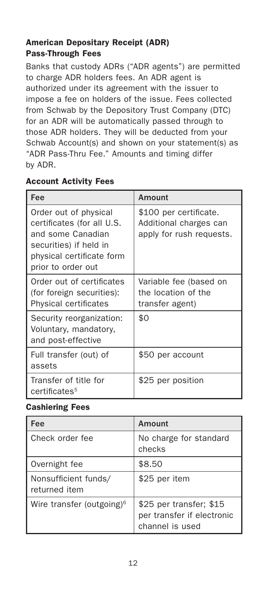### American Depositary Receipt (ADR) Pass-Through Fees

Banks that custody ADRs ("ADR agents") are permitted to charge ADR holders fees. An ADR agent is authorized under its agreement with the issuer to impose a fee on holders of the issue. Fees collected from Schwab by the Depository Trust Company (DTC) for an ADR will be automatically passed through to those ADR holders. They will be deducted from your Schwab Account(s) and shown on your statement(s) as "ADR Pass-Thru Fee." Amounts and timing differ by ADR.

#### Account Activity Fees

| Fee                                                                                                                                                   | Amount                                                                       |
|-------------------------------------------------------------------------------------------------------------------------------------------------------|------------------------------------------------------------------------------|
| Order out of physical<br>certificates (for all U.S.<br>and some Canadian<br>securities) if held in<br>physical certificate form<br>prior to order out | \$100 per certificate.<br>Additional charges can<br>apply for rush requests. |
| Order out of certificates<br>(for foreign securities):<br>Physical certificates                                                                       | Variable fee (based on<br>the location of the<br>transfer agent)             |
| Security reorganization:<br>Voluntary, mandatory,<br>and post-effective                                                                               | \$0                                                                          |
| Full transfer (out) of<br>assets                                                                                                                      | \$50 per account                                                             |
| Transfer of title for<br>certificates <sup>5</sup>                                                                                                    | \$25 per position                                                            |

#### Cashiering Fees

| Fee                                   | Amount                                                                   |
|---------------------------------------|--------------------------------------------------------------------------|
| Check order fee                       | No charge for standard<br>checks                                         |
| Overnight fee                         | \$8.50                                                                   |
| Nonsufficient funds/<br>returned item | \$25 per item                                                            |
| Wire transfer (outgoing) <sup>6</sup> | \$25 per transfer; \$15<br>per transfer if electronic<br>channel is used |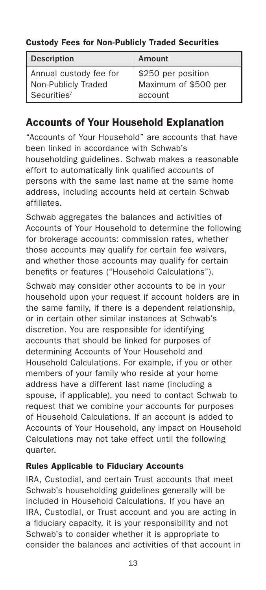### Custody Fees for Non-Publicly Traded Securities

| <b>Description</b>      | <b>Amount</b>        |
|-------------------------|----------------------|
| Annual custody fee for  | \$250 per position   |
| Non-Publicly Traded     | Maximum of \$500 per |
| Securities <sup>7</sup> | account              |

# Accounts of Your Household Explanation

"Accounts of Your Household" are accounts that have been linked in accordance with Schwab's householding guidelines. Schwab makes a reasonable effort to automatically link qualified accounts of persons with the same last name at the same home address, including accounts held at certain Schwab affiliates.

Schwab aggregates the balances and activities of Accounts of Your Household to determine the following for brokerage accounts: commission rates, whether those accounts may qualify for certain fee waivers, and whether those accounts may qualify for certain benefits or features ("Household Calculations").

Schwab may consider other accounts to be in your household upon your request if account holders are in the same family, if there is a dependent relationship, or in certain other similar instances at Schwab's discretion. You are responsible for identifying accounts that should be linked for purposes of determining Accounts of Your Household and Household Calculations. For example, if you or other members of your family who reside at your home address have a different last name (including a spouse, if applicable), you need to contact Schwab to request that we combine your accounts for purposes of Household Calculations. If an account is added to Accounts of Your Household, any impact on Household Calculations may not take effect until the following quarter.

### Rules Applicable to Fiduciary Accounts

IRA, Custodial, and certain Trust accounts that meet Schwab's householding guidelines generally will be included in Household Calculations. If you have an IRA, Custodial, or Trust account and you are acting in a fiduciary capacity, it is your responsibility and not Schwab's to consider whether it is appropriate to consider the balances and activities of that account in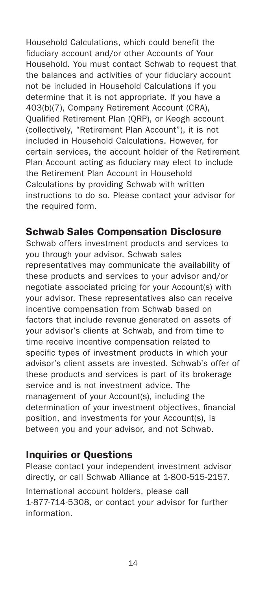Household Calculations, which could benefit the fiduciary account and/or other Accounts of Your Household. You must contact Schwab to request that the balances and activities of your fiduciary account not be included in Household Calculations if you determine that it is not appropriate. If you have a 403(b)(7), Company Retirement Account (CRA), Qualified Retirement Plan (QRP), or Keogh account (collectively, "Retirement Plan Account"), it is not included in Household Calculations. However, for certain services, the account holder of the Retirement Plan Account acting as fiduciary may elect to include the Retirement Plan Account in Household Calculations by providing Schwab with written instructions to do so. Please contact your advisor for the required form.

## Schwab Sales Compensation Disclosure

Schwab offers investment products and services to you through your advisor. Schwab sales representatives may communicate the availability of these products and services to your advisor and/or negotiate associated pricing for your Account(s) with your advisor. These representatives also can receive incentive compensation from Schwab based on factors that include revenue generated on assets of your advisor's clients at Schwab, and from time to time receive incentive compensation related to specific types of investment products in which your advisor's client assets are invested. Schwab's offer of these products and services is part of its brokerage service and is not investment advice. The management of your Account(s), including the determination of your investment objectives, financial position, and investments for your Account(s), is between you and your advisor, and not Schwab.

### Inquiries or Questions

Please contact your independent investment advisor directly, or call Schwab Alliance at 1-800-515-2157. International account holders, please call

1-877-714-5308, or contact your advisor for further information.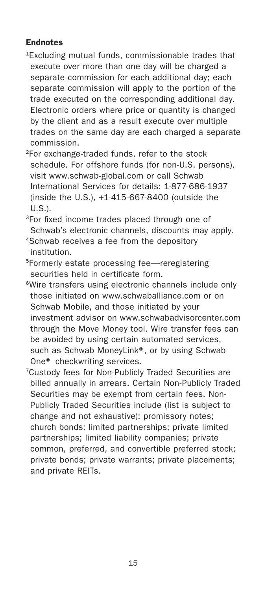#### Endnotes

- 1Excluding mutual funds, commissionable trades that execute over more than one day will be charged a separate commission for each additional day; each separate commission will apply to the portion of the trade executed on the corresponding additional day. Electronic orders where price or quantity is changed by the client and as a result execute over multiple trades on the same day are each charged a separate commission.
- 2For exchange-traded funds, refer to the stock schedule. For offshore funds (for non-U.S. persons), visit www.schwab-global.com or call Schwab International Services for details: 1-877-686-1937 (inside the U.S.), +1-415-667-8400 (outside the U.S.).
- 3For fixed income trades placed through one of Schwab's electronic channels, discounts may apply.
- 4Schwab receives a fee from the depository institution.
- 5Formerly estate processing fee—reregistering securities held in certificate form.
- 6Wire transfers using electronic channels include only those initiated on www.schwaballiance.com or on Schwab Mobile, and those initiated by your investment advisor on www.schwabadvisorcenter.com through the Move Money tool. Wire transfer fees can be avoided by using certain automated services, such as Schwab MoneyLink®, or by using Schwab One® checkwriting services.
- 7Custody fees for Non-Publicly Traded Securities are billed annually in arrears. Certain Non-Publicly Traded Securities may be exempt from certain fees. Non-Publicly Traded Securities include (list is subject to change and not exhaustive): promissory notes; church bonds; limited partnerships; private limited partnerships; limited liability companies; private common, preferred, and convertible preferred stock; private bonds; private warrants; private placements; and private REITs.